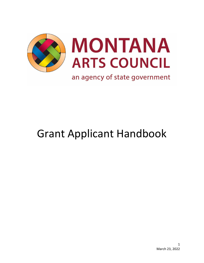

# Grant Applicant Handbook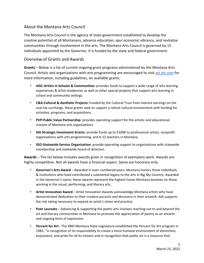## About the Montana Arts Council

The Montana Arts Council is the agency of state government established to develop the creative potential of all Montanans, advance education, spur economic vibrancy, and revitalize communities through involvement in the arts. The Montana Arts Council is governed by 15 individuals appointed by the Governor. It is funded by the state and federal government.

### Overview of Grants and Awards

**Grants** – Below is a list of current ongoing grant programs administered by the Montana Arts Council. Artists and organizations with arts programming are encouraged to visit [art.mt.com](https://art.mt.gov/) for more information, including guidelines, on available grants.

- **AISC-Artists in Schools & Communities:** provides funds to support a wide range of arts learning experiences & artist residencies as well as other special projects that support arts learning in school and community settings.
- **C&A-Cultural & Aesthetic Projects:** Funded by the Cultural Trust from interest earnings on the coal tax surcharge, these grants seek to support a robust cultural environment with funding for activities, programs, and acquisitions.
- **PVP-Public Value Partnership:** provides operating support for the artistic and educational mission of Montana arts organizations.
- **SIG-Strategic Investment Grants:** provide funds up to \$1000 to professional artists, nonprofit organizations with arts programming, and K-12 teachers in Montana.
- **SSO-Statewide Service Organization:** provide operating support to organizations with statewide membership and statewide board of directors.

**Awards** – The list below includes awards given in recognition of exemplary work. Awards are highly competitive. Not all awards have a financial aspect. Some are honorary only.

- **Governor's Arts Award**  Awarded in even numbered years, Montana honors those individuals & institutions who have contributed a substantial legacy to the arts in Big Sky Country. Awarded in the Governor's name, these awards represent the highest honor Montana bestows on those working in the visual, performing, and literary arts.
- **Artist Innovation Award**  Artist Innovation Awards acknowledge Montana artists who have demonstrated dedication to their creative pursuits and discovery in their artwork. AIA supports the risk taking necessary to expand an artist's vision and practice.
- **Poet Laureate**  Advancing & supporting the poetic arts involves reaching out to and beyond the art and literary communities in Montana to promote the appreciation of poetry as an ancient and ongoing form of expression.
- **Percent for Art** The 48th Montana State Legislature established the Percent for Art program in 1983, "in recognition of its responsibility to create a more humane environment of distinction, enjoyment, and pride for all its citizens and in recognition that public art is a resource that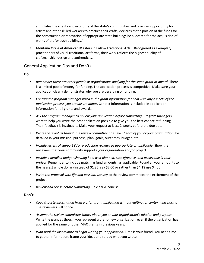stimulates the vitality and economy of the state's communities and provides opportunity for artists and other skilled workers to practice their crafts, declares that a portion of the funds for the construction or renovation of appropriate state buildings be allocated for the acquisition of works of art for such buildings."

• **Montana Circle of American Masters in Folk & Traditional Arts** – Recognized as exemplary practitioners of visual traditional art forms, their work reflects the highest quality of craftmanship, design and authenticity.

#### General Application Dos and Don'ts

#### **Do:**

- *Remember there are other people or organizations applying for the same grant or award*. There is a limited pool of money for funding. The application process is competitive. Make sure your application clearly demonstrates why you are deserving of funding.
- *Contact the program manager listed in the grant information for help with any aspects of the application process you are unsure about*. Contact information is included in application information for all grants and awards.
- *Ask the program manager to review your application before submitting*. Program managers want to help you write the best application possible to give you the best chance at funding. Their feedback is invaluable. Make your request at least 2 weeks before the due date.
- *Write the grant as though the review committee has never heard of you or your organization*. Be detailed in your mission, purpose, plan, goals, outcomes, budget, etc.
- *Include letters of support &/or production reviews as appropriate or applicable*. Show the reviewers that your community supports your organization and/or project.
- *Include a detailed budget showing how well-planned, cost-effective, and achievable is your project*. Remember to include matching fund amounts, as applicable. Round all your amounts to the nearest whole dollar (Instead of \$1.86, say \$2.00 or rather than \$4.18 use \$4.00)
- *Write the proposal with life and passion*. Convey to the review committee the excitement of the project.
- *Review and revise before submitting*. Be clear & concise.

#### **Don't:**

- *Copy & paste information from a prior grant application without editing for context and clarity*. The reviewers will notice.
- *Assume the review committee knows about you or your organization's mission and purpose*. Write the grant as though you represent a brand-new organization, even if the organization has applied for the same or other MAC grants in previous years.
- *Wait until the last minute to begin writing your application*. Time is your friend. You need time to gather information, frame your ideas and reread what you wrote.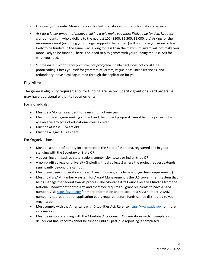- *Use out-of-date data*. Make sure your budget, statistics and other information are current.
- Ask for a lower amount of money thinking it will make you more likely to be funded. Request grant amounts in whole dollars to the nearest 100 (\$500, \$2,500, \$5,000, etc) Asking for the maximum award (assuming your budget supports the request) will not make you more or less likely to be funded. In the same way, asking for less than the maximum award will not make you more likely to be funded. There is no need to play games with your funding request. Ask for what you need.
- *Submit an application that you have not proofread*. Spell-check does not constitute proofreading. Check yourself for grammatical errors, vague ideas, inconsistencies, and redundancy. Have a colleague read through the application for you.

# Eligibility

The general eligibility requirements for funding are below. Specific grant or award programs may have additional eligibility requirements.

For Individuals:

- Must be a Montana resident for a minimum of one year
- Must not be a degree seeking student and the project proposal cannot be for a project which will receive any type of educational course credit
- Must be at least 18 years old
- Must be a legal U.S. resident

For Organizations:

- Must be a non-profit entity incorporated in the State of Montana, registered and in good standing with the Secretary of State OR
- A governing unit such as state, region, county, city, town, or Indian tribe OR
- A non-profit college or university (including tribal colleges) where the project request extends significantly beyond the campus
- Must have been in operation at least 1 year. (Some grants have a longer term requirement.)
- Must hold a SAM number System for Award Management is the U.S. government system that helps manage the federal awards process. The Montana Arts Council receives funding from the National Endowment for the Arts and therefore requires all grant recipients to have a SAM number. Visit [https://sam.gov](https://sam.gov/) for more information and to acquire a SAM number. A SAM number is not required for application but is required before funds can be distributed to your organization.
- Must comply with the Americans with Disabilities Act. Refer t[o https://www.ada.gov](https://www.ada.gov/) for more information.
- Must be in good standing with the Montana Arts Council. Organizations with incomplete or delinquent final reports cannot be funded until all past-due reporting is completed.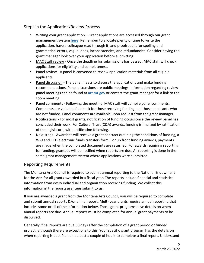# Steps in the Application/Review Process

- Writing your grant application Grant applications are accessed through our grant management syste[m here.](https://www.grantinterface.com/Home/Logon?urlkey=montanaarts) Remember to allocate plenty of time to write the application, have a colleague read through it, and proofread it for spelling and grammatical errors, vague ideas, inconsistencies, and redundancies. Consider having the grant manager look over your application before submitting.
- MAC Staff review Once the deadline for submissions has passed, MAC staff will check applications for eligibility and completeness.
- Panel review A panel is convened to review application materials from all eligible applicants.
- Panel discussion The panel meets to discuss the applications and make funding recommendations. Panel discussions are public meetings. Information regarding review panel meetings can be found at [art.mt.gov](https://art.mt.gov/) or contact the grant manager for a link to the zoom meeting.
- Panel comments Following the meeting, MAC staff will compile panel comments. Comments are valuable feedback for those receiving funding and those applicants who are not funded. Panel comments are available upon request from the grant manager.
- Notifications For most grants, notification of funding occurs once the review panel has concluded their work. For Cultural Trust (C&A) awards, funding is finalized by ratification of the legislature, with notification following.
- Next steps Awardees will receive a grant contract outlining the conditions of funding, a W-9 and EFT (electronic funds transfer) form. For up front funding awards, payments are made when the completed documents are returned. For awards requiring reporting for funding, grantees will be notified when reports are due. All reporting is done in the same grant management system where applications were submitted.

## Reporting Requirements

The Montana Arts Council is required to submit annual reporting to the National Endowment for the Arts for all grants awarded in a fiscal year. The reports include financial and statistical information from every individual and organization receiving funding. We collect this information in the reports grantees submit to us.

If you are awarded a grant from the Montana Arts Council, you will be required to complete and submit annual reports &/or a final report. Multi-year grants require annual reporting that includes some or all of the information below. Those grant programs have details on when annual reports are due. Annual reports must be completed for annual grant payments to be disbursed.

Generally, final reports are due 30 days after the completion of a grant period or funded project, although there are exceptions to this. Your specific grant program has the details on when reporting is due. Plan on at least a couple of hours to complete a final report. Understand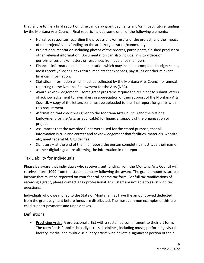that failure to file a final report on time can delay grant payments and/or impact future funding by the Montana Arts Council. Final reports include some or all of the following elements:

- Narrative responses regarding the process and/or results of the project, and the impact of the project/event/funding on the artist/organization/community.
- Project documentation including photos of the process, participants, finished product or other relevant information. Documentation can also include links to videos of performances and/or letters or responses from audience members.
- Financial information and documentation which may include a completed budget sheet, most recently filed 990 tax return, receipts for expenses, pay stubs or other relevant financial information.
- Statistical information which must be collected by the Montana Arts Council for annual reporting to the National Endowment for the Arts (NEA).
- Award Acknowledgement some grant programs require the recipient to submit letters of acknowledgement to lawmakers in appreciation of their support of the Montana Arts Council. A copy of the letters sent must be uploaded to the final report for grants with this requirement.
- Affirmation that credit was given to the Montana Arts Council (and the National Endowment for the Arts, as applicable) for financial support of the organization or project.
- Assurances that the awarded funds were used for the stated purpose, that all information is true and correct and acknowledgement that facilities, materials, website, etc, meet federal ADA guidelines.
- Signature at the end of the final report, the person completing must type their name as their digital signature affirming the information in the report.

# Tax Liability for Individuals

Please be aware that individuals who receive grant funding from the Montana Arts Council will receive a form 1099 from the state in January following the award. The grant amount is taxable income that must be reported on your federal income tax form. For full tax ramifications of receiving a grant, please contact a tax professional. MAC staff are not able to assist with tax questions.

Individuals who owe money to the State of Montana may have the amount owed deducted from the grant payment before funds are distributed. The most common examples of this are child support payments and unpaid taxes.

## Definitions

• Practicing Artist: A professional artist with a sustained commitment to their art form. The term "artist' applies broadly across disciplines, including music, performing, visual, literary, media, and multi-disciplinary artists who devote a significant portion of their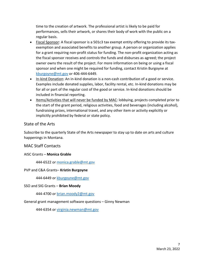time to the creation of artwork. The professional artist is likely to be paid for performances, sells their artwork, or shares their body of work with the public on a regular basis.

- Fiscal Sponsor: A fiscal sponsor is a 501c3 tax exempt entity offering to provide its taxexemption and associated benefits to another group. A person or organization applies for a grant requiring non-profit status for funding. The non-profit organization acting as the fiscal sponsor receives and controls the funds and disburses as agreed; the project owner owns the result of the project. For more information on being or using a fiscal sponsor and when one might be required for funding, contact Kristin Burgoyne at [kburgoyne@mt.gov](mailto:kburgoyne@mt.gov) or 406-444-6449.
- In-kind Donation: An in-kind donation is a non-cash contribution of a good or service. Examples include donated supplies, labor, facility rental, etc. In-kind donations may be for all or part of the regular cost of the good or service. In-kind donations should be included in financial reporting.
- Items/Activities that will never be funded by MAC: lobbying, projects completed prior to the start of the grant period, religious activities, food and beverages (including alcohol), fundraising prizes, international travel, and any other item or activity explicitly or implicitly prohibited by federal or state policy.

### State of the Arts

Subscribe to the quarterly State of the Arts newspaper to stay up to date on arts and culture happenings in Montana.

## MAC Staff Contacts

#### AISC Grants – **Monica Grable**

444-6522 or [monica.grable@mt.gov](mailto:monica.grable@mt.gov)

#### PVP and C&A Grants– **Kristin Burgoyne**

444-6449 or [kburgoyne@mt.gov](mailto:kburgoyne@mt.gov)

#### SSO and SIG Grants – **Brian Moody**

444-4700 or [brian.moody2@mt.gov](mailto:brian.moody2@mt.gov)

#### General grant management software questions – Ginny Newman

444-6354 or [virginia.newman@mt.gov](mailto:virginia.newman@mt.gov)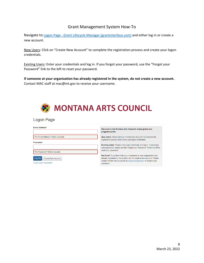## Grant Management System How-To

Navigate to Logon Page - [Grant Lifecycle Manager \(grantinterface.com\)](https://www.grantinterface.com/Home/Logon?urlkey=montanaarts) and either log in or create a new account.

New Users: Click on "Create New Account" to complete the registration process and create your logon credentials.

Existing Users: Enter your credentials and log in. If you forgot your password, use the "Forgot your Password" link to the left to reset your password.

**If someone at your organization has already registered in the system, do not create a new account.** Contact MAC staff at mac@mt.gov to receive your username.



#### Logon Page

| Email Address*                        | Welcome to the Montana Arts Council's online grants and<br>programs portal.                                                                                |  |  |
|---------------------------------------|------------------------------------------------------------------------------------------------------------------------------------------------------------|--|--|
| The Email Address* field is required. | New Users: Please click on "Create New Account" to complete the<br>registration process and create your logon credentials.                                 |  |  |
| Password*                             |                                                                                                                                                            |  |  |
|                                       | <b>Existing Users: Please enter your credentials and log in. If you forgot</b><br>your password, please use the "Forgot your Password" link to the left to |  |  |
| The Password* field is required.      | reset your password.                                                                                                                                       |  |  |
|                                       | Not Sure? If you think that you or someone at your organization has                                                                                        |  |  |
| Log On<br><b>Create New Account</b>   | already registered in the system, do not create a new account. Please                                                                                      |  |  |
| Forgot your Password?                 | contact Kristin Han Burgoyne at kburgoyne@mt.gov to receive your<br>username                                                                               |  |  |
|                                       |                                                                                                                                                            |  |  |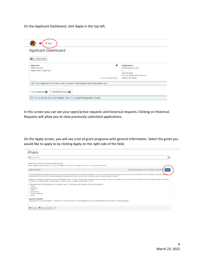On the Applicant Dashboard, click Apply in the top left.

| <b>Applicant Dashboard</b>                                         |                              |                                                                                                    |                                                                                                                            |
|--------------------------------------------------------------------|------------------------------|----------------------------------------------------------------------------------------------------|----------------------------------------------------------------------------------------------------------------------------|
| Public Profile                                                     |                              |                                                                                                    |                                                                                                                            |
| <b>Applicant:</b><br><b>Ginny Newman</b><br>virginia.newman@mt.gov |                              | ◢<br><b>Contact Email History</b>                                                                  | Organization:<br><b>Montana Arts Council</b><br>$\Omega$<br>406-444-6430<br>PO Box 202201 830 N Warren<br>Helena, MT 59620 |
|                                                                    |                              | (i) If your organization information does not appear correct, please click the edit (pencil) icon. |                                                                                                                            |
| <b>Active Requests (0)</b>                                         | <b>Historical Requests 0</b> |                                                                                                    |                                                                                                                            |

In this screen you can see your open/active requests and historical requests. Clicking on Historical Requests will allow you to view previously submitted applications.

On the Apply screen, you will see a list of grant programs with general information. Select the grant you would like to apply to by clicking Apply on the right side of the field.